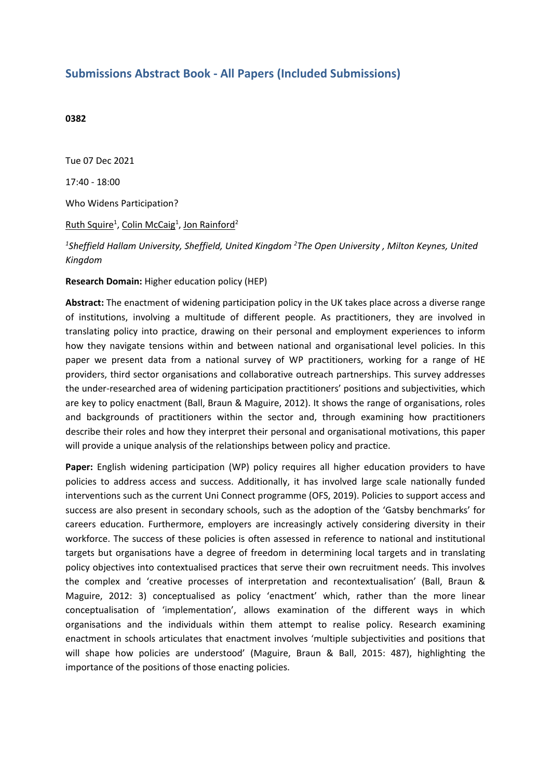## **Submissions Abstract Book - All Papers (Included Submissions)**

## **0382**

Tue 07 Dec 2021 17:40 - 18:00 Who Widens Participation? Ruth Squire<sup>1</sup>, Colin McCaig<sup>1</sup>, Jon Rainford<sup>2</sup>

*1 Sheffield Hallam University, Sheffield, United Kingdom <sup>2</sup> The Open University , Milton Keynes, United Kingdom*

**Research Domain:** Higher education policy (HEP)

**Abstract:** The enactment of widening participation policy in the UK takes place across <sup>a</sup> diverse range of institutions, involving <sup>a</sup> multitude of different people. As practitioners, they are involved in translating policy into practice, drawing on their personal and employment experiences to inform how they navigate tensions within and between national and organisational level policies. In this paper we present data from <sup>a</sup> national survey of WP practitioners, working for <sup>a</sup> range of HE providers, third sector organisations and collaborative outreach partnerships. This survey addresses the under-researched area of widening participation practitioners' positions and subjectivities, which are key to policy enactment (Ball, Braun & Maguire, 2012). It shows the range of organisations, roles and backgrounds of practitioners within the sector and, through examining how practitioners describe their roles and how they interpret their personal and organisational motivations, this paper will provide <sup>a</sup> unique analysis of the relationships between policy and practice.

**Paper:** English widening participation (WP) policy requires all higher education providers to have policies to address access and success. Additionally, it has involved large scale nationally funded interventions such as the current Uni Connect programme (OFS, 2019). Policies to support access and success are also present in secondary schools, such as the adoption of the 'Gatsby benchmarks' for careers education. Furthermore, employers are increasingly actively considering diversity in their workforce. The success of these policies is often assessed in reference to national and institutional targets but organisations have <sup>a</sup> degree of freedom in determining local targets and in translating policy objectives into contextualised practices that serve their own recruitment needs. This involves the complex and 'creative processes of interpretation and recontextualisation' (Ball, Braun & Maguire, 2012: 3) conceptualised as policy 'enactment' which, rather than the more linear conceptualisation of 'implementation', allows examination of the different ways in which organisations and the individuals within them attempt to realise policy. Research examining enactment in schools articulates that enactment involves 'multiple subjectivities and positions that will shape how policies are understood' (Maguire, Braun & Ball, 2015: 487), highlighting the importance of the positions of those enacting policies.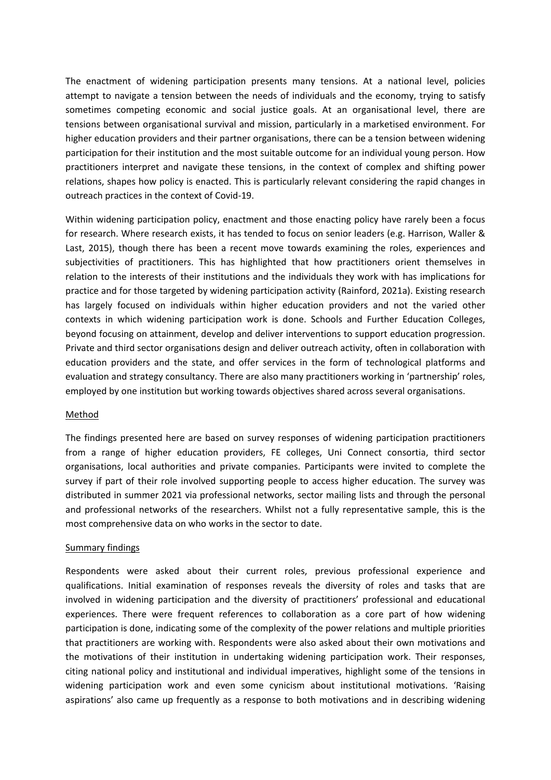The enactment of widening participation presents many tensions. At <sup>a</sup> national level, policies attempt to navigate <sup>a</sup> tension between the needs of individuals and the economy, trying to satisfy sometimes competing economic and social justice goals. At an organisational level, there are tensions between organisational survival and mission, particularly in <sup>a</sup> marketised environment. For higher education providers and their partner organisations, there can be <sup>a</sup> tension between widening participation for their institution and the most suitable outcome for an individual young person. How practitioners interpret and navigate these tensions, in the context of complex and shifting power relations, shapes how policy is enacted. This is particularly relevant considering the rapid changes in outreach practices in the context of Covid-19.

Within widening participation policy, enactment and those enacting policy have rarely been <sup>a</sup> focus for research. Where research exists, it has tended to focus on senior leaders (e.g. Harrison, Waller & Last, 2015), though there has been <sup>a</sup> recent move towards examining the roles, experiences and subjectivities of practitioners. This has highlighted that how practitioners orient themselves in relation to the interests of their institutions and the individuals they work with has implications for practice and for those targeted by widening participation activity (Rainford, 2021a). Existing research has largely focused on individuals within higher education providers and not the varied other contexts in which widening participation work is done. Schools and Further Education Colleges, beyond focusing on attainment, develop and deliver interventions to support education progression. Private and third sector organisations design and deliver outreach activity, often in collaboration with education providers and the state, and offer services in the form of technological platforms and evaluation and strategy consultancy. There are also many practitioners working in 'partnership' roles, employed by one institution but working towards objectives shared across several organisations.

## Method

The findings presented here are based on survey responses of widening participation practitioners from <sup>a</sup> range of higher education providers, FE colleges, Uni Connect consortia, third sector organisations, local authorities and private companies. Participants were invited to complete the survey if part of their role involved supporting people to access higher education. The survey was distributed in summer 2021 via professional networks, sector mailing lists and through the personal and professional networks of the researchers. Whilst not <sup>a</sup> fully representative sample, this is the most comprehensive data on who works in the sector to date.

## Summary findings

Respondents were asked about their current roles, previous professional experience and qualifications. Initial examination of responses reveals the diversity of roles and tasks that are involved in widening participation and the diversity of practitioners' professional and educational experiences. There were frequent references to collaboration as <sup>a</sup> core part of how widening participation is done, indicating some of the complexity of the power relations and multiple priorities that practitioners are working with. Respondents were also asked about their own motivations and the motivations of their institution in undertaking widening participation work. Their responses, citing national policy and institutional and individual imperatives, highlight some of the tensions in widening participation work and even some cynicism about institutional motivations. 'Raising aspirations' also came up frequently as <sup>a</sup> response to both motivations and in describing widening